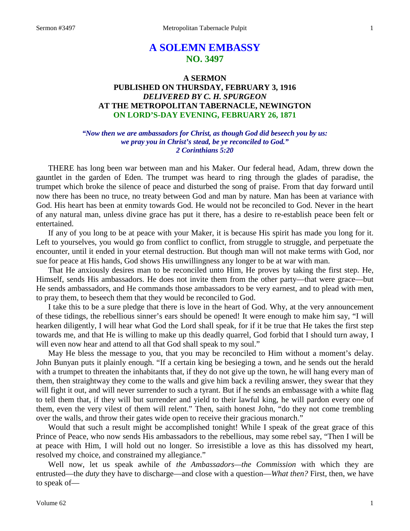# **A SOLEMN EMBASSY NO. 3497**

## **A SERMON PUBLISHED ON THURSDAY, FEBRUARY 3, 1916** *DELIVERED BY C. H. SPURGEON* **AT THE METROPOLITAN TABERNACLE, NEWINGTON ON LORD'S-DAY EVENING, FEBRUARY 26, 1871**

## *"Now then we are ambassadors for Christ, as though God did beseech you by us: we pray you in Christ's stead, be ye reconciled to God." 2 Corinthians 5:20*

THERE has long been war between man and his Maker. Our federal head, Adam, threw down the gauntlet in the garden of Eden. The trumpet was heard to ring through the glades of paradise, the trumpet which broke the silence of peace and disturbed the song of praise. From that day forward until now there has been no truce, no treaty between God and man by nature. Man has been at variance with God. His heart has been at enmity towards God. He would not be reconciled to God. Never in the heart of any natural man, unless divine grace has put it there, has a desire to re-establish peace been felt or entertained.

If any of you long to be at peace with your Maker, it is because His spirit has made you long for it. Left to yourselves, you would go from conflict to conflict, from struggle to struggle, and perpetuate the encounter, until it ended in your eternal destruction. But though man will not make terms with God, nor sue for peace at His hands, God shows His unwillingness any longer to be at war with man.

That He anxiously desires man to be reconciled unto Him, He proves by taking the first step. He, Himself, sends His ambassadors. He does not invite them from the other party—that were grace—but He sends ambassadors, and He commands those ambassadors to be very earnest, and to plead with men, to pray them, to beseech them that they would be reconciled to God.

I take this to be a sure pledge that there is love in the heart of God. Why, at the very announcement of these tidings, the rebellious sinner's ears should be opened! It were enough to make him say, "I will hearken diligently, I will hear what God the Lord shall speak, for if it be true that He takes the first step towards me, and that He is willing to make up this deadly quarrel, God forbid that I should turn away, I will even now hear and attend to all that God shall speak to my soul."

May He bless the message to you, that you may be reconciled to Him without a moment's delay. John Bunyan puts it plainly enough. "If a certain king be besieging a town, and he sends out the herald with a trumpet to threaten the inhabitants that, if they do not give up the town, he will hang every man of them, then straightway they come to the walls and give him back a reviling answer, they swear that they will fight it out, and will never surrender to such a tyrant. But if he sends an embassage with a white flag to tell them that, if they will but surrender and yield to their lawful king, he will pardon every one of them, even the very vilest of them will relent." Then, saith honest John, "do they not come trembling over the walls, and throw their gates wide open to receive their gracious monarch."

Would that such a result might be accomplished tonight! While I speak of the great grace of this Prince of Peace, who now sends His ambassadors to the rebellious, may some rebel say, "Then I will be at peace with Him, I will hold out no longer. So irresistible a love as this has dissolved my heart, resolved my choice, and constrained my allegiance."

Well now, let us speak awhile of *the Ambassadors—the Commission* with which they are entrusted—the *duty* they have to discharge—and close with a question—*What then?* First, then, we have to speak of—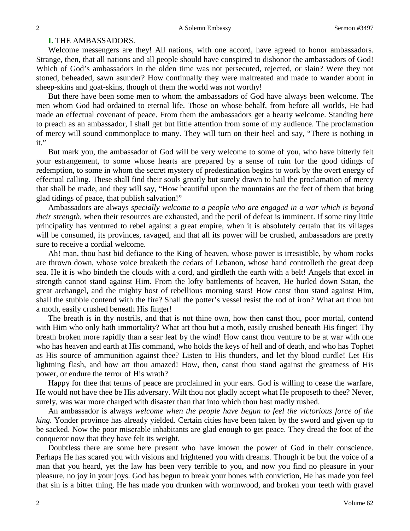## **I.** THE AMBASSADORS.

Welcome messengers are they! All nations, with one accord, have agreed to honor ambassadors. Strange, then, that all nations and all people should have conspired to dishonor the ambassadors of God! Which of God's ambassadors in the olden time was not persecuted, rejected, or slain? Were they not stoned, beheaded, sawn asunder? How continually they were maltreated and made to wander about in sheep-skins and goat-skins, though of them the world was not worthy!

But there have been some men to whom the ambassadors of God have always been welcome. The men whom God had ordained to eternal life. Those on whose behalf, from before all worlds, He had made an effectual covenant of peace. From them the ambassadors get a hearty welcome. Standing here to preach as an ambassador, I shall get but little attention from some of my audience. The proclamation of mercy will sound commonplace to many. They will turn on their heel and say, "There is nothing in it."

But mark you, the ambassador of God will be very welcome to some of you, who have bitterly felt your estrangement, to some whose hearts are prepared by a sense of ruin for the good tidings of redemption, to some in whom the secret mystery of predestination begins to work by the overt energy of effectual calling. These shall find their souls greatly but surely drawn to hail the proclamation of mercy that shall be made, and they will say, "How beautiful upon the mountains are the feet of them that bring glad tidings of peace, that publish salvation!"

Ambassadors are always *specially welcome to a people who are engaged in a war which is beyond their strength,* when their resources are exhausted, and the peril of defeat is imminent. If some tiny little principality has ventured to rebel against a great empire, when it is absolutely certain that its villages will be consumed, its provinces, ravaged, and that all its power will be crushed, ambassadors are pretty sure to receive a cordial welcome.

Ah! man, thou hast bid defiance to the King of heaven, whose power is irresistible, by whom rocks are thrown down, whose voice breaketh the cedars of Lebanon, whose hand controlleth the great deep sea. He it is who bindeth the clouds with a cord, and girdleth the earth with a belt! Angels that excel in strength cannot stand against Him. From the lofty battlements of heaven, He hurled down Satan, the great archangel, and the mighty host of rebellious morning stars! How canst thou stand against Him, shall the stubble contend with the fire? Shall the potter's vessel resist the rod of iron? What art thou but a moth, easily crushed beneath His finger!

The breath is in thy nostrils, and that is not thine own, how then canst thou, poor mortal, contend with Him who only hath immortality? What art thou but a moth, easily crushed beneath His finger! Thy breath broken more rapidly than a sear leaf by the wind! How canst thou venture to be at war with one who has heaven and earth at His command, who holds the keys of hell and of death, and who has Tophet as His source of ammunition against thee? Listen to His thunders, and let thy blood curdle! Let His lightning flash, and how art thou amazed! How, then, canst thou stand against the greatness of His power, or endure the terror of His wrath?

Happy for thee that terms of peace are proclaimed in your ears. God is willing to cease the warfare, He would not have thee be His adversary. Wilt thou not gladly accept what He proposeth to thee? Never, surely, was war more charged with disaster than that into which thou hast madly rushed.

An ambassador is always *welcome when the people have begun to feel the victorious force of the king.* Yonder province has already yielded. Certain cities have been taken by the sword and given up to be sacked. Now the poor miserable inhabitants are glad enough to get peace. They dread the foot of the conqueror now that they have felt its weight.

Doubtless there are some here present who have known the power of God in their conscience. Perhaps He has scared you with visions and frightened you with dreams. Though it be but the voice of a man that you heard, yet the law has been very terrible to you, and now you find no pleasure in your pleasure, no joy in your joys. God has begun to break your bones with conviction, He has made you feel that sin is a bitter thing, He has made you drunken with wormwood, and broken your teeth with gravel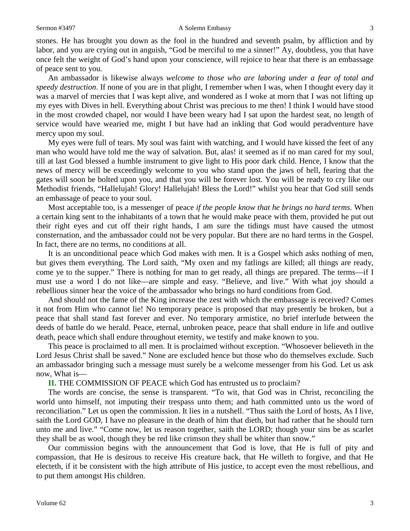#### Sermon #3497 **A Solemn Embassy** 3

stones. He has brought you down as the fool in the hundred and seventh psalm, by affliction and by labor, and you are crying out in anguish, "God be merciful to me a sinner!" Ay, doubtless, you that have once felt the weight of God's hand upon your conscience, will rejoice to hear that there is an embassage of peace sent to you.

An ambassador is likewise always *welcome to those who are laboring under a fear of total and speedy destruction.* If none of you are in that plight, I remember when I was, when I thought every day it was a marvel of mercies that I was kept alive, and wondered as I woke at morn that I was not lifting up my eyes with Dives in hell. Everything about Christ was precious to me then! I think I would have stood in the most crowded chapel, nor would I have been weary had I sat upon the hardest seat, no length of service would have wearied me, might I but have had an inkling that God would peradventure have mercy upon my soul.

My eyes were full of tears. My soul was faint with watching, and I would have kissed the feet of any man who would have told me the way of salvation. But, alas! it seemed as if no man cared for my soul, till at last God blessed a humble instrument to give light to His poor dark child. Hence, I know that the news of mercy will be exceedingly welcome to you who stand upon the jaws of hell, fearing that the gates will soon be bolted upon you, and that you will be forever lost. You will be ready to cry like our Methodist friends, "Hallelujah! Glory! Hallelujah! Bless the Lord!" whilst you hear that God still sends an embassage of peace to your soul.

Most acceptable too, is a messenger of peace *if the people know that he brings no hard terms*. When a certain king sent to the inhabitants of a town that he would make peace with them, provided he put out their right eyes and cut off their right hands, I am sure the tidings must have caused the utmost consternation, and the ambassador could not be very popular. But there are no hard terms in the Gospel. In fact, there are no terms, no conditions at all.

It is an unconditional peace which God makes with men. It is a Gospel which asks nothing of men, but gives them everything. The Lord saith, "My oxen and my fatlings are killed; all things are ready, come ye to the supper." There is nothing for man to get ready, all things are prepared. The terms—if I must use a word I do not like—are simple and easy. "Believe, and live." With what joy should a rebellious sinner hear the voice of the ambassador who brings no hard conditions from God.

And should not the fame of the King increase the zest with which the embassage is received? Comes it not from Him who cannot lie! No temporary peace is proposed that may presently be broken, but a peace that shall stand fast forever and ever. No temporary armistice, no brief interlude between the deeds of battle do we herald. Peace, eternal, unbroken peace, peace that shall endure in life and outlive death, peace which shall endure throughout eternity, we testify and make known to you.

This peace is proclaimed to all men. It is proclaimed without exception. "Whosoever believeth in the Lord Jesus Christ shall be saved." None are excluded hence but those who do themselves exclude. Such an ambassador bringing such a message must surely be a welcome messenger from his God. Let us ask now, What is—

## **II.** THE COMMISSION OF PEACE which God has entrusted us to proclaim?

The words are concise, the sense is transparent. "To wit, that God was in Christ, reconciling the world unto himself, not imputing their trespass unto them; and hath committed unto us the word of reconciliation." Let us open the commission. It lies in a nutshell. "Thus saith the Lord of hosts, As I live, saith the Lord GOD, I have no pleasure in the death of him that dieth, but had rather that he should turn unto me and live." "Come now, let us reason together, saith the LORD; though your sins be as scarlet they shall be as wool, though they be red like crimson they shall be whiter than snow."

Our commission begins with the announcement that God is love, that He is full of pity and compassion, that He is desirous to receive His creature back, that He willeth to forgive, and that He electeth, if it be consistent with the high attribute of His justice, to accept even the most rebellious, and to put them amongst His children.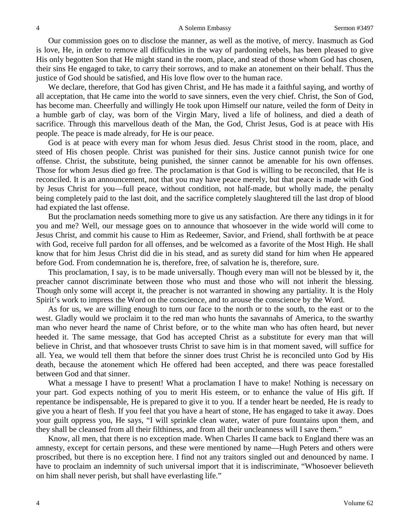Our commission goes on to disclose the manner, as well as the motive, of mercy. Inasmuch as God is love, He, in order to remove all difficulties in the way of pardoning rebels, has been pleased to give His only begotten Son that He might stand in the room, place, and stead of those whom God has chosen, their sins He engaged to take, to carry their sorrows, and to make an atonement on their behalf. Thus the justice of God should be satisfied, and His love flow over to the human race.

We declare, therefore, that God has given Christ, and He has made it a faithful saying, and worthy of all acceptation, that He came into the world to save sinners, even the very chief. Christ, the Son of God, has become man. Cheerfully and willingly He took upon Himself our nature, veiled the form of Deity in a humble garb of clay, was born of the Virgin Mary, lived a life of holiness, and died a death of sacrifice. Through this marvellous death of the Man, the God, Christ Jesus, God is at peace with His people. The peace is made already, for He is our peace.

God is at peace with every man for whom Jesus died. Jesus Christ stood in the room, place, and steed of His chosen people. Christ was punished for their sins. Justice cannot punish twice for one offense. Christ, the substitute, being punished, the sinner cannot be amenable for his own offenses. Those for whom Jesus died go free. The proclamation is that God is willing to be reconciled, that He is reconciled. It is an announcement, not that you may have peace merely, but that peace is made with God by Jesus Christ for you—full peace, without condition, not half-made, but wholly made, the penalty being completely paid to the last doit, and the sacrifice completely slaughtered till the last drop of blood had expiated the last offense.

But the proclamation needs something more to give us any satisfaction. Are there any tidings in it for you and me? Well, our message goes on to announce that whosoever in the wide world will come to Jesus Christ, and commit his cause to Him as Redeemer, Savior, and Friend, shall forthwith be at peace with God, receive full pardon for all offenses, and be welcomed as a favorite of the Most High. He shall know that for him Jesus Christ did die in his stead, and as surety did stand for him when He appeared before God. From condemnation he is, therefore, free, of salvation he is, therefore, sure.

This proclamation, I say, is to be made universally. Though every man will not be blessed by it, the preacher cannot discriminate between those who must and those who will not inherit the blessing. Though only some will accept it, the preacher is not warranted in showing any partiality. It is the Holy Spirit's work to impress the Word on the conscience, and to arouse the conscience by the Word.

As for us, we are willing enough to turn our face to the north or to the south, to the east or to the west. Gladly would we proclaim it to the red man who hunts the savannahs of America, to the swarthy man who never heard the name of Christ before, or to the white man who has often heard, but never heeded it. The same message, that God has accepted Christ as a substitute for every man that will believe in Christ, and that whosoever trusts Christ to save him is in that moment saved, will suffice for all. Yea, we would tell them that before the sinner does trust Christ he is reconciled unto God by His death, because the atonement which He offered had been accepted, and there was peace forestalled between God and that sinner.

What a message I have to present! What a proclamation I have to make! Nothing is necessary on your part. God expects nothing of you to merit His esteem, or to enhance the value of His gift. If repentance be indispensable, He is prepared to give it to you. If a tender heart be needed, He is ready to give you a heart of flesh. If you feel that you have a heart of stone, He has engaged to take it away. Does your guilt oppress you, He says, "I will sprinkle clean water, water of pure fountains upon them, and they shall be cleansed from all their filthiness, and from all their uncleanness will I save them."

Know, all men, that there is no exception made. When Charles II came back to England there was an amnesty, except for certain persons, and these were mentioned by name—Hugh Peters and others were proscribed, but there is no exception here. I find not any traitors singled out and denounced by name. I have to proclaim an indemnity of such universal import that it is indiscriminate, "Whosoever believeth on him shall never perish, but shall have everlasting life."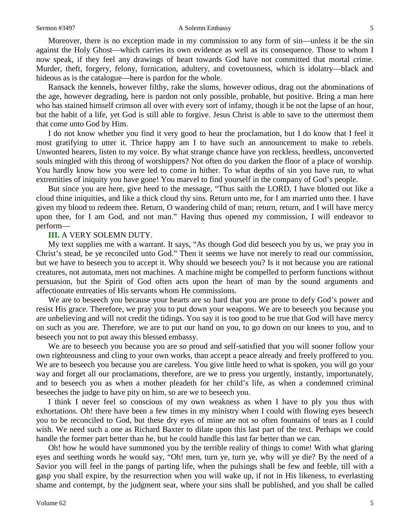#### Sermon #3497 **A Solemn Embassy** 5

Moreover, there is no exception made in my commission to any form of sin—unless it be the sin against the Holy Ghost—which carries its own evidence as well as its consequence. Those to whom I now speak, if they feel any drawings of heart towards God have not committed that mortal crime. Murder, theft, forgery, felony, fornication, adultery, and covetousness, which is idolatry—black and hideous as is the catalogue—here is pardon for the whole.

Ransack the kennels, however filthy, rake the slums, however odious, drag out the abominations of the age, however degrading, here is pardon not only possible, probable, but positive. Bring a man here who has stained himself crimson all over with every sort of infamy, though it be not the lapse of an hour, but the habit of a life, yet God is still able to forgive. Jesus Christ is able to save to the uttermost them that come unto God by Him.

I do not know whether you find it very good to hear the proclamation, but I do know that I feel it most gratifying to utter it. Thrice happy am I to have such an announcement to make to rebels. Unwonted hearers, listen to my voice. By what strange chance have yon reckless, heedless, unconverted souls mingled with this throng of worshippers? Not often do you darken the floor of a place of worship. You hardly know how you were led to come in hither. To what depths of sin you have run, to what extremities of iniquity you have gone! You marvel to find yourself in the company of God's people.

But since you are here, give heed to the message, "Thus saith the LORD, I have blotted out like a cloud thine iniquities, and like a thick cloud thy sins. Return unto me, for I am married unto thee. I have given my blood to redeem thee. Return, O wandering child of man; return, return, and I will have mercy upon thee, for I am God, and not man." Having thus opened my commission, I will endeavor to perform—

### **III.** A VERY SOLEMN DUTY.

My text supplies me with a warrant. It says, "As though God did beseech you by us, we pray you in Christ's stead, be ye reconciled unto God." Then it seems we have not merely to read our commission, but we have to beseech you to accept it. Why should we beseech you? Is it not because you are rational creatures, not automata, men not machines. A machine might be compelled to perform functions without persuasion, but the Spirit of God often acts upon the heart of man by the sound arguments and affectionate entreaties of His servants whom He commissions.

We are to beseech you because your hearts are so hard that you are prone to defy God's power and resist His grace. Therefore, we pray you to put down your weapons. We are to beseech you because you are unbelieving and will not credit the tidings. You say it is too good to be true that God will have mercy on such as you are. Therefore, we are to put our hand on you, to go down on our knees to you, and to beseech you not to put away this blessed embassy.

We are to beseech you because you are so proud and self-satisfied that you will sooner follow your own righteousness and cling to your own works, than accept a peace already and freely proffered to you. We are to beseech you because you are careless. You give little heed to what is spoken, you will go your way and forget all our proclamations, therefore, are we to press you urgently, instantly, importunately, and to beseech you as when a mother pleadeth for her child's life, as when a condemned criminal beseeches the judge to have pity on him, so are we to beseech you.

I think I never feel so conscious of my own weakness as when I have to ply you thus with exhortations. Oh! there have been a few times in my ministry when I could with flowing eyes beseech you to be reconciled to God, but these dry eyes of mine are not so often fountains of tears as I could wish. We need such a one as Richard Baxter to dilate upon this last part of the text. Perhaps we could handle the former part better than he, but he could handle this last far better than we can.

Oh! how he would have summoned you by the terrible reality of things to come! With what glaring eyes and seething words he would say, "Oh! men, turn ye, turn ye, why will ye die? By the need of a Savior you will feel in the pangs of parting life, when the pulsings shall be few and feeble, till with a gasp you shall expire, by the resurrection when you will wake up, if not in His likeness, to everlasting shame and contempt, by the judgment seat, where your sins shall be published, and you shall be called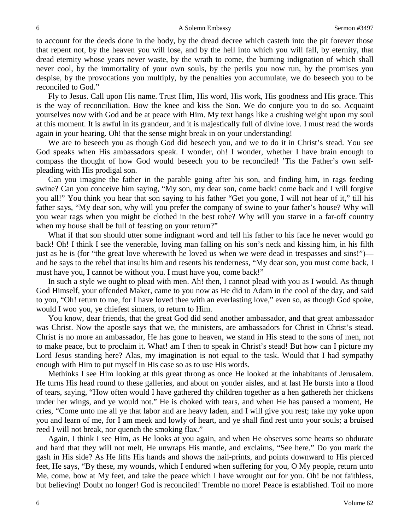to account for the deeds done in the body, by the dread decree which casteth into the pit forever those that repent not, by the heaven you will lose, and by the hell into which you will fall, by eternity, that dread eternity whose years never waste, by the wrath to come, the burning indignation of which shall never cool, by the immortality of your own souls, by the perils you now run, by the promises you despise, by the provocations you multiply, by the penalties you accumulate, we do beseech you to be reconciled to God."

Fly to Jesus. Call upon His name. Trust Him, His word, His work, His goodness and His grace. This is the way of reconciliation. Bow the knee and kiss the Son. We do conjure you to do so. Acquaint yourselves now with God and be at peace with Him. My text hangs like a crushing weight upon my soul at this moment. It is awful in its grandeur, and it is majestically full of divine love. I must read the words again in your hearing. Oh! that the sense might break in on your understanding!

We are to beseech you as though God did beseech you, and we to do it in Christ's stead. You see God speaks when His ambassadors speak. I wonder, oh! I wonder, whether I have brain enough to compass the thought of how God would beseech you to be reconciled! 'Tis the Father's own selfpleading with His prodigal son.

Can you imagine the father in the parable going after his son, and finding him, in rags feeding swine? Can you conceive him saying, "My son, my dear son, come back! come back and I will forgive you all!" You think you hear that son saying to his father "Get you gone, I will not hear of it," till his father says, "My dear son, why will you prefer the company of swine to your father's house? Why will you wear rags when you might be clothed in the best robe? Why will you starve in a far-off country when my house shall be full of feasting on your return?"

What if that son should utter some indignant word and tell his father to his face he never would go back! Oh! I think I see the venerable, loving man falling on his son's neck and kissing him, in his filth just as he is (for "the great love wherewith he loved us when we were dead in trespasses and sins!") and he says to the rebel that insults him and resents his tenderness, "My dear son, you must come back, I must have you, I cannot be without you. I must have you, come back!"

In such a style we ought to plead with men. Ah! then, I cannot plead with you as I would. As though God Himself, your offended Maker, came to you now as He did to Adam in the cool of the day, and said to you, "Oh! return to me, for I have loved thee with an everlasting love," even so, as though God spoke, would I woo you, ye chiefest sinners, to return to Him.

You know, dear friends, that the great God did send another ambassador, and that great ambassador was Christ. Now the apostle says that we, the ministers, are ambassadors for Christ in Christ's stead. Christ is no more an ambassador, He has gone to heaven, we stand in His stead to the sons of men, not to make peace, but to proclaim it. What! am I then to speak in Christ's stead! But how can I picture my Lord Jesus standing here? Alas, my imagination is not equal to the task. Would that I had sympathy enough with Him to put myself in His case so as to use His words.

Methinks I see Him looking at this great throng as once He looked at the inhabitants of Jerusalem. He turns His head round to these galleries, and about on yonder aisles, and at last He bursts into a flood of tears, saying, "How often would I have gathered thy children together as a hen gathereth her chickens under her wings, and ye would not." He is choked with tears, and when He has paused a moment, He cries, "Come unto me all ye that labor and are heavy laden, and I will give you rest; take my yoke upon you and learn of me, for I am meek and lowly of heart, and ye shall find rest unto your souls; a bruised reed I will not break, nor quench the smoking flax."

Again, I think I see Him, as He looks at you again, and when He observes some hearts so obdurate and hard that they will not melt, He unwraps His mantle, and exclaims, "See here." Do you mark the gash in His side? As He lifts His hands and shows the nail-prints, and points downward to His pierced feet, He says, "By these, my wounds, which I endured when suffering for you, O My people, return unto Me, come, bow at My feet, and take the peace which I have wrought out for you. Oh! be not faithless, but believing! Doubt no longer! God is reconciled! Tremble no more! Peace is established. Toil no more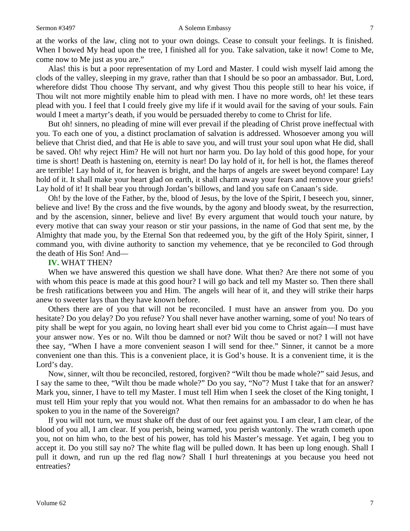at the works of the law, cling not to your own doings. Cease to consult your feelings. It is finished. When I bowed My head upon the tree, I finished all for you. Take salvation, take it now! Come to Me, come now to Me just as you are."

Alas! this is but a poor representation of my Lord and Master. I could wish myself laid among the clods of the valley, sleeping in my grave, rather than that I should be so poor an ambassador. But, Lord, wherefore didst Thou choose Thy servant, and why givest Thou this people still to hear his voice, if Thou wilt not more mightily enable him to plead with men. I have no more words, oh! let these tears plead with you. I feel that I could freely give my life if it would avail for the saving of your souls. Fain would I meet a martyr's death, if you would be persuaded thereby to come to Christ for life.

But oh! sinners, no pleading of mine will ever prevail if the pleading of Christ prove ineffectual with you. To each one of you, a distinct proclamation of salvation is addressed. Whosoever among you will believe that Christ died, and that He is able to save you, and will trust your soul upon what He did, shall be saved. Oh! why reject Him? He will not hurt nor harm you. Do lay hold of this good hope, for your time is short! Death is hastening on, eternity is near! Do lay hold of it, for hell is hot, the flames thereof are terrible! Lay hold of it, for heaven is bright, and the harps of angels are sweet beyond compare! Lay hold of it. It shall make your heart glad on earth, it shall charm away your fears and remove your griefs! Lay hold of it! It shall bear you through Jordan's billows, and land you safe on Canaan's side.

Oh! by the love of the Father, by the, blood of Jesus, by the love of the Spirit, I beseech you, sinner, believe and live! By the cross and the five wounds, by the agony and bloody sweat, by the resurrection, and by the ascension, sinner, believe and live! By every argument that would touch your nature, by every motive that can sway your reason or stir your passions, in the name of God that sent me, by the Almighty that made you, by the Eternal Son that redeemed you, by the gift of the Holy Spirit, sinner, I command you, with divine authority to sanction my vehemence, that ye be reconciled to God through the death of His Son! And—

## **IV.** WHAT THEN?

When we have answered this question we shall have done. What then? Are there not some of you with whom this peace is made at this good hour? I will go back and tell my Master so. Then there shall be fresh ratifications between you and Him. The angels will hear of it, and they will strike their harps anew to sweeter lays than they have known before.

Others there are of you that will not be reconciled. I must have an answer from you. Do you hesitate? Do you delay? Do you refuse? You shall never have another warning, some of you! No tears of pity shall be wept for you again, no loving heart shall ever bid you come to Christ again—I must have your answer now. Yes or no. Wilt thou be damned or not? Wilt thou be saved or not? I will not have thee say, "When I have a more convenient season I will send for thee." Sinner, it cannot be a more convenient one than this. This is a convenient place, it is God's house. It is a convenient time, it is the Lord's day.

Now, sinner, wilt thou be reconciled, restored, forgiven? "Wilt thou be made whole?" said Jesus, and I say the same to thee, "Wilt thou be made whole?" Do you say, "No"? Must I take that for an answer? Mark you, sinner, I have to tell my Master. I must tell Him when I seek the closet of the King tonight, I must tell Him your reply that you would not. What then remains for an ambassador to do when he has spoken to you in the name of the Sovereign?

If you will not turn, we must shake off the dust of our feet against you. I am clear, I am clear, of the blood of you all, I am clear. If you perish, being warned, you perish wantonly. The wrath cometh upon you, not on him who, to the best of his power, has told his Master's message. Yet again, I beg you to accept it. Do you still say no? The white flag will be pulled down. It has been up long enough. Shall I pull it down, and run up the red flag now? Shall I hurl threatenings at you because you heed not entreaties?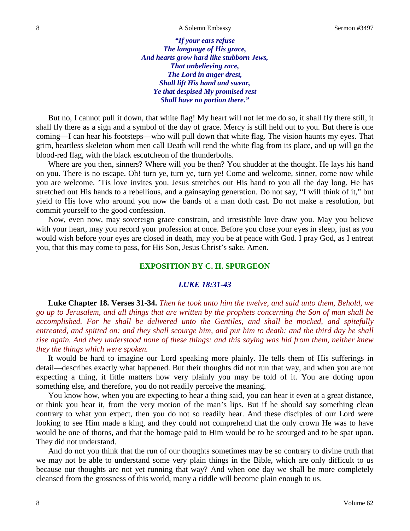*"If your ears refuse The language of His grace, And hearts grow hard like stubborn Jews, That unbelieving race, The Lord in anger drest, Shall lift His hand and swear, Ye that despised My promised rest Shall have no portion there."*

But no, I cannot pull it down, that white flag! My heart will not let me do so, it shall fly there still, it shall fly there as a sign and a symbol of the day of grace. Mercy is still held out to you. But there is one coming—I can hear his footsteps—who will pull down that white flag. The vision haunts my eyes. That grim, heartless skeleton whom men call Death will rend the white flag from its place, and up will go the blood-red flag, with the black escutcheon of the thunderbolts.

Where are you then, sinners? Where will you be then? You shudder at the thought. He lays his hand on you. There is no escape. Oh! turn ye, turn ye, turn ye! Come and welcome, sinner, come now while you are welcome. 'Tis love invites you. Jesus stretches out His hand to you all the day long. He has stretched out His hands to a rebellious, and a gainsaying generation. Do not say, "I will think of it," but yield to His love who around you now the bands of a man doth cast. Do not make a resolution, but commit yourself to the good confession.

Now, even now, may sovereign grace constrain, and irresistible love draw you. May you believe with your heart, may you record your profession at once. Before you close your eyes in sleep, just as you would wish before your eyes are closed in death, may you be at peace with God. I pray God, as I entreat you, that this may come to pass, for His Son, Jesus Christ's sake. Amen.

## **EXPOSITION BY C. H. SPURGEON**

## *LUKE 18:31-43*

**Luke Chapter 18. Verses 31-34.** *Then he took unto him the twelve, and said unto them, Behold, we go up to Jerusalem, and all things that are written by the prophets concerning the Son of man shall be accomplished. For he shall be delivered unto the Gentiles, and shall be mocked, and spitefully entreated, and spitted on: and they shall scourge him, and put him to death: and the third day he shall rise again. And they understood none of these things: and this saying was hid from them, neither knew they the things which were spoken.*

It would be hard to imagine our Lord speaking more plainly. He tells them of His sufferings in detail—describes exactly what happened. But their thoughts did not run that way, and when you are not expecting a thing, it little matters how very plainly you may be told of it. You are doting upon something else, and therefore, you do not readily perceive the meaning.

You know how, when you are expecting to hear a thing said, you can hear it even at a great distance, or think you hear it, from the very motion of the man's lips. But if he should say something clean contrary to what you expect, then you do not so readily hear. And these disciples of our Lord were looking to see Him made a king, and they could not comprehend that the only crown He was to have would be one of thorns, and that the homage paid to Him would be to be scourged and to be spat upon. They did not understand.

And do not you think that the run of our thoughts sometimes may be so contrary to divine truth that we may not be able to understand some very plain things in the Bible, which are only difficult to us because our thoughts are not yet running that way? And when one day we shall be more completely cleansed from the grossness of this world, many a riddle will become plain enough to us.